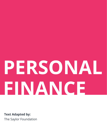# **PERSONAL FINANCE**

**Text Adapted by:** The Saylor Foundation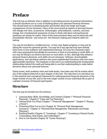## **Preface**

This text has an attitude: that in addition to providing sources of practical information, it should introduce you to a way of thinking about your personal financial decisions. This should lead you to thinking harder and farther about the larger and longer consequences of your decisions. Many of the more practical aspects of personal finance will change over time, as practices, technologies, intermediaries, customs, and laws change, but a fundamental awareness of ways to think well about solving financial questions can always be useful. Some of the more practical ideas may be obviously and immediately relevant—and some not—but decision-making and research skills are lasting.

You may be enrolled in a traditional two- or four-year degree program or may just be taking the course for personal growth. You may be of any age and may have already done more or less academic and experiential learning. You may be a business major, with some prerequisite knowledge of economics or level of accounting or math skills, or you may be filling in an elective and have no such skills. In fact, although they enhance personal finance decisions, such skills are not necessary. Software, downloadable applications, and calculators perform ever more sophisticated functions with ever more approachable interfaces. The emphasis in this text is on understanding the fundamental relationships behind the math and being able to use that understanding to make better decisions about your personal finances.

Entire tomes, both academic texts and trade books, have been and will be written about any of the subjects featured in each chapter of this text. The idea here is to introduce you to the practical and conceptual framework for making personal financial decisions in the larger context of your life, and in the even larger context of your individual life as part of a greater economy of financial participants.

### **Structure**

The text may be divided into five sections:

- 1. Learning Basic Skills, Knowledge, and Context (Chapter 1 "Personal Financial Planning"–Chapter 6 "Taxes and Tax Planning")
- 2. Getting What You Want (Chapter 7 "Financial Management"–Chapter 9 "Buying a Home")
- 3. Protecting What You've Got (Chapter 10 "Personal Risk Management: Insurance"–Chapter 11 "Personal Risk Management: Retirement and Estate Planning")
- 4. Building Wealth (Chapter 12 "Investing"–Chapter 17 "Investing in Mutual Funds, Commodities, Real Estate, and Collectibles")
- 5. How to Get Started (Chapter 18 "Career Planning")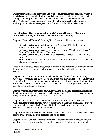This structure is based on the typical life cycle of personal financial decisions, which in turn is based on the premise that in a market economy, an individual participates by trading something of value: labor or capital. Most of us start with nothing to trade but labor. We hope to sustain our desired lifestyle on the earnings from labor and to gradually (or quickly) amass capital that will then provide additional earnings.

#### **Learning Basic Skills, Knowledge, and Context (Chapter 1 "Personal Financial Planning"–Chapter 6 "Taxes and Tax Planning")**

Chapter 1 "Personal Financial Planning" introduces four of its major themes:

- Financial decisions are individual-specific (Section 1.1 "Individual or "Micro" Factors That Affect Financial Thinking").
- Financial decisions are economic decisions (Section 1.2 "Systemic or "Macro" Factors That Affect Financial Thinking").
- Financial decision making is a continuous process (Section 1.3 "The Planning Process").
- Professional advisors work for financial decision makers (Section 1.4 "Financial Planning Professionals").

These themes emphasize the idiosyncratic, systemic, and continuous nature of personal finance, putting decisions within the larger contexts of an entire lifetime and an economy.

Chapter 2 "Basic Ideas of Finance" introduces the basic financial and accounting categories of revenues, expenses, assets, liabilities, and net worth as tools to understand the relationships between them as a way, in turn, of organizing financial thinking. It also introduces the concepts of opportunity costs and sunk costs as implicit but critical considerations in financial thinking.

Chapter 3 "Financial Statements" continues with the discussion of organizing financial data to help in decision making and introduces basic analytical tools that can be used to clarify the situation portrayed in financial statements.

Chapter 4 "Evaluating Choices: Time, Risk, and Value" introduces the critical relationships of time and risk to value. It demonstrates the math but focuses on the role that those relationships play in financial thinking, especially in comparing and evaluating choices in making financial decisions.

Chapter 5 "Financial Plans: Budgets" demonstrates how organized financial data can be used to create a plan, monitor progress, and adjust goals.

Chapter 6 "Taxes and Tax Planning" discusses the role of taxation in personal finance and its effects on earnings and on accumulating wealth. The chapter emphasizes the

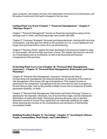types, purposes, and impacts of taxes; the organization of resources for information; and the areas of controversy that lead to changes in the tax rules.

#### **Getting What You Want (Chapter 7 "Financial Management"–Chapter 9 "Buying a Home")**

Chapter 7 "Financial Management" focuses on financing consumption using current earnings and/or credit, and financing longer-term assets with debt.

Chapter 8 "Consumer Strategies" discusses purchasing decisions, starting with recurring consumption, and then goes into detail on the purchase of a car, a more significant and longer-term purchase both in terms of its use and financing.

Chapter 9 "Buying a Home" applies the ideas developed in the previous chapter to what, for most people, will be the major purchase: a home. The chapter discusses its role both as a living expense and an investment, as well as the financing and financial consequences of the purchase.

#### **Protecting What You've Got (Chapter 10 "Personal Risk Management: Insurance"–Chapter 11 "Personal Risk Management: Retirement and Estate Planning")**

Chapter 10 "Personal Risk Management: Insurance" introduces the idea of incorporating risk management into financial planning. An awareness of the need for risk management often comes with age and experience. This chapter focuses on planning for the unexpected. It progresses from the more obvious risks to property to the less obvious risks, such as the possible inability to earn due to temporary ill health, permanent disability, or death.

Chapter 11 "Personal Risk Management: Retirement and Estate Planning" focuses on planning for the expected: retirement, loss of income from wages, and the subsequent distribution of assets after death. Retirement planning discusses ways to develop alternative sources of income from capital that can eventually substitute for wages. Estate planning also touches on the considerations and mechanics of distributing accumulated wealth.

#### **Building Wealth (Chapter 12 "Investing"–Chapter 17 "Investing in Mutual Funds, Commodities, Real Estate, and Collectibles")**